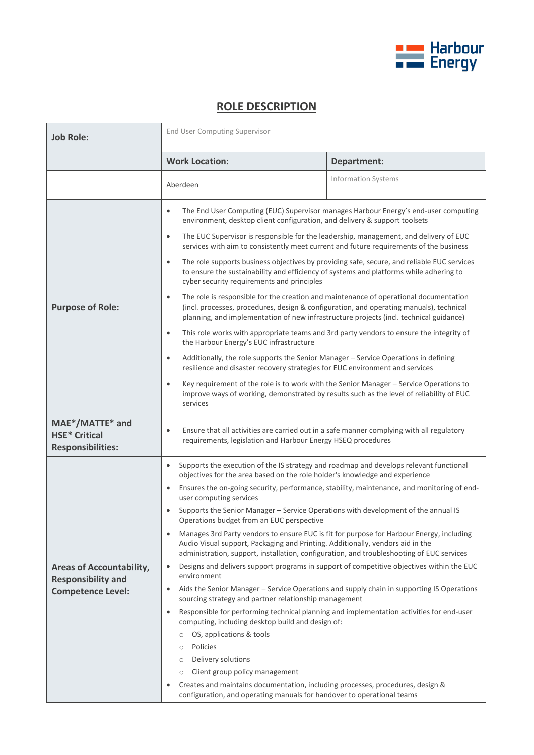

## **ROLE DESCRIPTION**

| <b>Job Role:</b>                                                                         | <b>End User Computing Supervisor</b>                                                                                                                                                                                                                                                                                                                                                                                                                                                                                                                                                                                                                                                                                                                                                                                                                                                                                                                                                                                                                                                                                                                                                                                                                                                                                                                                                                                                                               |                                                                                                                                                                                                                                                                                                                                                                                                                                                                                                                                                                                                                                                                                                                                                                                                                                           |
|------------------------------------------------------------------------------------------|--------------------------------------------------------------------------------------------------------------------------------------------------------------------------------------------------------------------------------------------------------------------------------------------------------------------------------------------------------------------------------------------------------------------------------------------------------------------------------------------------------------------------------------------------------------------------------------------------------------------------------------------------------------------------------------------------------------------------------------------------------------------------------------------------------------------------------------------------------------------------------------------------------------------------------------------------------------------------------------------------------------------------------------------------------------------------------------------------------------------------------------------------------------------------------------------------------------------------------------------------------------------------------------------------------------------------------------------------------------------------------------------------------------------------------------------------------------------|-------------------------------------------------------------------------------------------------------------------------------------------------------------------------------------------------------------------------------------------------------------------------------------------------------------------------------------------------------------------------------------------------------------------------------------------------------------------------------------------------------------------------------------------------------------------------------------------------------------------------------------------------------------------------------------------------------------------------------------------------------------------------------------------------------------------------------------------|
|                                                                                          | <b>Work Location:</b>                                                                                                                                                                                                                                                                                                                                                                                                                                                                                                                                                                                                                                                                                                                                                                                                                                                                                                                                                                                                                                                                                                                                                                                                                                                                                                                                                                                                                                              | Department:                                                                                                                                                                                                                                                                                                                                                                                                                                                                                                                                                                                                                                                                                                                                                                                                                               |
|                                                                                          | Aberdeen                                                                                                                                                                                                                                                                                                                                                                                                                                                                                                                                                                                                                                                                                                                                                                                                                                                                                                                                                                                                                                                                                                                                                                                                                                                                                                                                                                                                                                                           | Information Systems                                                                                                                                                                                                                                                                                                                                                                                                                                                                                                                                                                                                                                                                                                                                                                                                                       |
| <b>Purpose of Role:</b>                                                                  | $\bullet$<br>environment, desktop client configuration, and delivery & support toolsets<br>$\bullet$<br>$\bullet$<br>to ensure the sustainability and efficiency of systems and platforms while adhering to<br>cyber security requirements and principles<br>$\bullet$<br>planning, and implementation of new infrastructure projects (incl. technical guidance)<br>$\bullet$<br>the Harbour Energy's EUC infrastructure<br>Additionally, the role supports the Senior Manager - Service Operations in defining<br>$\bullet$<br>resilience and disaster recovery strategies for EUC environment and services<br>$\bullet$                                                                                                                                                                                                                                                                                                                                                                                                                                                                                                                                                                                                                                                                                                                                                                                                                                          | The End User Computing (EUC) Supervisor manages Harbour Energy's end-user computing<br>The EUC Supervisor is responsible for the leadership, management, and delivery of EUC<br>services with aim to consistently meet current and future requirements of the business<br>The role supports business objectives by providing safe, secure, and reliable EUC services<br>The role is responsible for the creation and maintenance of operational documentation<br>(incl. processes, procedures, design & configuration, and operating manuals), technical<br>This role works with appropriate teams and 3rd party vendors to ensure the integrity of<br>Key requirement of the role is to work with the Senior Manager - Service Operations to<br>improve ways of working, demonstrated by results such as the level of reliability of EUC |
| MAE*/MATTE* and<br><b>HSE* Critical</b><br><b>Responsibilities:</b>                      | services<br>Ensure that all activities are carried out in a safe manner complying with all regulatory<br>$\bullet$<br>requirements, legislation and Harbour Energy HSEQ procedures                                                                                                                                                                                                                                                                                                                                                                                                                                                                                                                                                                                                                                                                                                                                                                                                                                                                                                                                                                                                                                                                                                                                                                                                                                                                                 |                                                                                                                                                                                                                                                                                                                                                                                                                                                                                                                                                                                                                                                                                                                                                                                                                                           |
| <b>Areas of Accountability,</b><br><b>Responsibility and</b><br><b>Competence Level:</b> | Supports the execution of the IS strategy and roadmap and develops relevant functional<br>objectives for the area based on the role holder's knowledge and experience<br>Ensures the on-going security, performance, stability, maintenance, and monitoring of end-<br>$\bullet$<br>user computing services<br>Supports the Senior Manager - Service Operations with development of the annual IS<br>Operations budget from an EUC perspective<br>Manages 3rd Party vendors to ensure EUC is fit for purpose for Harbour Energy, including<br>Audio Visual support, Packaging and Printing. Additionally, vendors aid in the<br>administration, support, installation, configuration, and troubleshooting of EUC services<br>Designs and delivers support programs in support of competitive objectives within the EUC<br>$\bullet$<br>environment<br>Aids the Senior Manager - Service Operations and supply chain in supporting IS Operations<br>sourcing strategy and partner relationship management<br>Responsible for performing technical planning and implementation activities for end-user<br>$\bullet$<br>computing, including desktop build and design of:<br>OS, applications & tools<br>O<br>Policies<br>$\circ$<br>Delivery solutions<br>Client group policy management<br>$\circ$<br>Creates and maintains documentation, including processes, procedures, design &<br>٠<br>configuration, and operating manuals for handover to operational teams |                                                                                                                                                                                                                                                                                                                                                                                                                                                                                                                                                                                                                                                                                                                                                                                                                                           |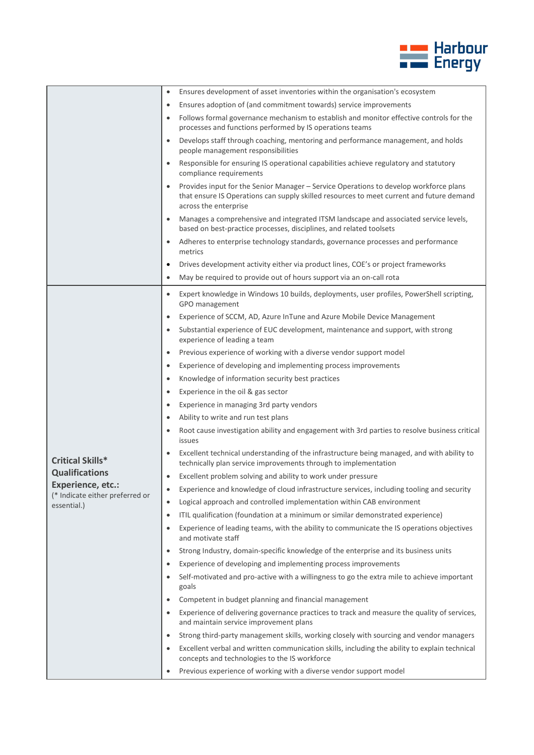

|                                                             | Ensures development of asset inventories within the organisation's ecosystem<br>$\bullet$                                                                                                                               |
|-------------------------------------------------------------|-------------------------------------------------------------------------------------------------------------------------------------------------------------------------------------------------------------------------|
|                                                             | Ensures adoption of (and commitment towards) service improvements<br>$\bullet$                                                                                                                                          |
|                                                             | Follows formal governance mechanism to establish and monitor effective controls for the<br>$\bullet$<br>processes and functions performed by IS operations teams                                                        |
|                                                             | Develops staff through coaching, mentoring and performance management, and holds<br>$\bullet$<br>people management responsibilities                                                                                     |
|                                                             | Responsible for ensuring IS operational capabilities achieve regulatory and statutory<br>$\bullet$<br>compliance requirements                                                                                           |
|                                                             | Provides input for the Senior Manager - Service Operations to develop workforce plans<br>$\bullet$<br>that ensure IS Operations can supply skilled resources to meet current and future demand<br>across the enterprise |
|                                                             | Manages a comprehensive and integrated ITSM landscape and associated service levels,<br>$\bullet$<br>based on best-practice processes, disciplines, and related toolsets                                                |
|                                                             | Adheres to enterprise technology standards, governance processes and performance<br>metrics                                                                                                                             |
|                                                             | Drives development activity either via product lines, COE's or project frameworks<br>$\bullet$                                                                                                                          |
|                                                             | May be required to provide out of hours support via an on-call rota<br>$\bullet$                                                                                                                                        |
|                                                             | Expert knowledge in Windows 10 builds, deployments, user profiles, PowerShell scripting,<br>$\bullet$                                                                                                                   |
|                                                             | GPO management                                                                                                                                                                                                          |
|                                                             | Experience of SCCM, AD, Azure InTune and Azure Mobile Device Management<br>$\bullet$                                                                                                                                    |
|                                                             | Substantial experience of EUC development, maintenance and support, with strong<br>$\bullet$<br>experience of leading a team                                                                                            |
|                                                             | Previous experience of working with a diverse vendor support model<br>$\bullet$                                                                                                                                         |
|                                                             | Experience of developing and implementing process improvements<br>$\bullet$                                                                                                                                             |
|                                                             | Knowledge of information security best practices<br>$\bullet$                                                                                                                                                           |
|                                                             | Experience in the oil & gas sector<br>$\bullet$                                                                                                                                                                         |
|                                                             | Experience in managing 3rd party vendors<br>$\bullet$                                                                                                                                                                   |
|                                                             | Ability to write and run test plans<br>$\bullet$                                                                                                                                                                        |
|                                                             | Root cause investigation ability and engagement with 3rd parties to resolve business critical<br>$\bullet$<br>issues                                                                                                    |
| <b>Critical Skills*</b>                                     | Excellent technical understanding of the infrastructure being managed, and with ability to<br>$\bullet$<br>technically plan service improvements through to implementation                                              |
| <b>Qualifications</b>                                       | Excellent problem solving and ability to work under pressure<br>$\bullet$                                                                                                                                               |
| <b>Experience, etc.:</b><br>(* Indicate either preferred or | Experience and knowledge of cloud infrastructure services, including tooling and security                                                                                                                               |
| essential.)                                                 | Logical approach and controlled implementation within CAB environment<br>$\bullet$                                                                                                                                      |
|                                                             | ITIL qualification (foundation at a minimum or similar demonstrated experience)<br>$\bullet$                                                                                                                            |
|                                                             | Experience of leading teams, with the ability to communicate the IS operations objectives<br>$\bullet$<br>and motivate staff                                                                                            |
|                                                             | Strong Industry, domain-specific knowledge of the enterprise and its business units<br>$\bullet$                                                                                                                        |
|                                                             | Experience of developing and implementing process improvements<br>$\bullet$                                                                                                                                             |
|                                                             | Self-motivated and pro-active with a willingness to go the extra mile to achieve important<br>$\bullet$<br>goals                                                                                                        |
|                                                             | Competent in budget planning and financial management<br>$\bullet$                                                                                                                                                      |
|                                                             | Experience of delivering governance practices to track and measure the quality of services,<br>$\bullet$<br>and maintain service improvement plans                                                                      |
|                                                             | Strong third-party management skills, working closely with sourcing and vendor managers<br>$\bullet$                                                                                                                    |
|                                                             | Excellent verbal and written communication skills, including the ability to explain technical<br>$\bullet$<br>concepts and technologies to the IS workforce                                                             |
|                                                             | Previous experience of working with a diverse vendor support model                                                                                                                                                      |